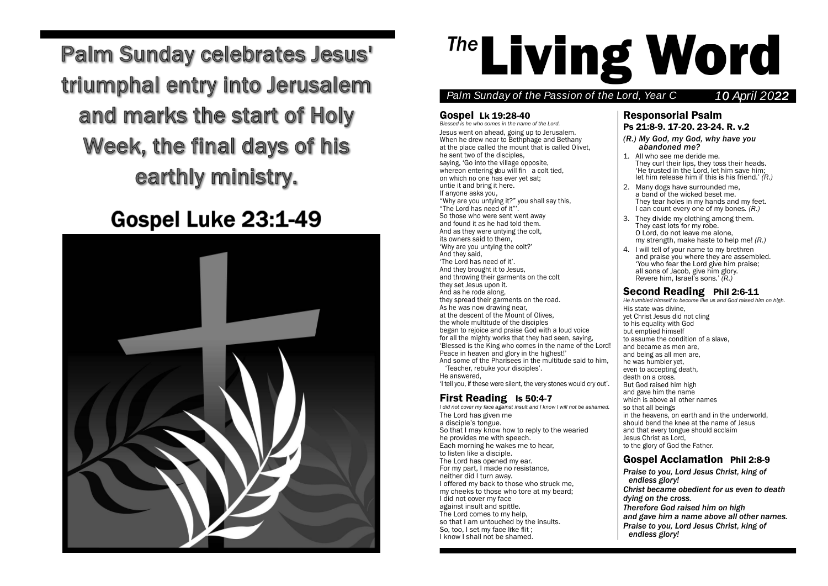Palm Sundav c  $N_{\rm eff}$  too, and when they sold approached to offer him vinegar they said, C If you are the king of the Jews, save yourself. N Above him there was an inscription: 'This is the King One of the criminals hanging there abused him, O Are you not the Christ? Save yourself and us as well. N But the other spoke up and rebuked him, week, the fin it: we are paying for what we did. But this man has done nothing wrong. Jesus, remember me when you done nothing wrong. Jesus, remember me when you Palm Sundav c NThesoldiersmockedhimtoo, andwhen they approachedto offer himvinegar theysaid, CIfyouare theking ofthe Jews, save yourself.N Above him there was an inscription: 'This is the King OP ORAL PROGRAM CALL OAreyounottheChrist?Saveyourselfand us as well. NButtheotherspoke upandrebukedhim,week, the fir

# Gospel Luke 23:1-49 Gospel Lui



# <sup>The</sup> Living Word

# Palm Sunday of the Passion of the Lord, Year C 10 April 2022

# Gospel Lk 19:28-40 Gospel Lk 19:28-40

Blessed is he who comes in the name of the Lord. Jesus went on ahead, going up to Jerusalem. Jesus went on ahead, going up to Jerusalem. When he drew near to Bethphage and Bethany When he drew near to Bethphage and Bethany at the place called the mount that is called Olivet, at the place called the mount that is called Olivet, he sent two of the disciples, he sent two of the disciples, saying, 'Go into the village opposite, saying, 'Go into the village opposite, whereon entering you will fin a colt tied, on which no one has ever yet sat; on which no one has ever yet sat; untie it and bring it here. untie it and bring it here. If anyone asks you, If anyone asks you, "Why are you untying it?" you shall say this, "Why are you untying it?" you shall say this, "The Lord has need of it"'. "The Lord has need of it"' . So those who were sent went away So those who were sent went away and found it as he had told them. and found it as he had told them. And as they were untying the colt, And as they were untying the colt, its owners said to them, its owners said to them, 'Why are you untying the colt?' 'Why are you untying the colt?' And they said, And they said, 'The Lord has need of it'. 'The Lord has need of it' And they brought it to Jesus, And they brought it to Jesus, and throwing their garments on the colt and throwing their garments on the colt they set Jesus upon it. they set Jesus upon it. And as he rode along, And as he rode along, they spread their garments on the road. they spread their garments on the road. As he was now drawing near, As he was now drawing near, at the descent of the Mount of Olives, at the descent of the Mount of Olives, the whole multitude of the disciples the whole multitude of the disciples began to rejoice and praise God with <sup>a</sup> loud voice began to rejoice and praise God with <sup>a</sup> loud voice for all the mighty works that they had seen, saying, for all the mighty works that they had seen, saying, 'Blessed is the King who comes in the name of the Lord! 'Blessed is the King who comes in the name of the Lord! Peace in heaven and glory in the highest!' Peace in heaven and glory in the highest!' Peace in heaven and glory in the highest!<br>And some of the Pharisees in the multitude said to him,<br>Teacher, rebuke your disciples'. 'Teacher, rebuke your disciples'. 'Teacher, rebuke your disciples' .

He answered, He answered, He answered,<br>'I tell you, if these were silent, the very stones would cry out'. | But God raised him

I did not cover my face against insult and I know I will not be ashamed.<br>The Lord has given me The Lord has given me The Lord has given me <sup>a</sup> disciple'<sup>s</sup> tongue. <sup>a</sup> disciple'<sup>s</sup> tongue. So that I may know how to reply to the wearied So that I may know how to reply to the wearied be provides me with speech. Each morning he wakes me to hear, Each morning he wakes me to hear, Each morning he wakes me to hear,<br>to listen like a disciple. The Lord has opened my ear. The Lord has opened my ear. The Lord has opened my ear.<br>For my part, I made no resistance,<br>Praise to you, I org neither did I turn away. neither did I turn away. neither did I turn away.<br>I offered my back to those who struck me,<br>Listed methants of the hast my cheeks to those who tore at my beard;<br>Ldid not cover my face I did not cover my face I did not cover my face Figure 3. The spittle and spittle.<br>The lard seminate my help The Lord comes to my help, The Lord comes to my help, so that I am untouched by the insults.<br> **Exaise to you. Lord Jesus that I am untouched by the insults.**<br> **Praise to you. Lord Jesus** So, too, I set my face like flit; So, too, I set my face like lift,<br>I know I shall not be shamed.  $\begin{array}{c} \text{in the second, so that there are the same of J (s) of the second.} \\ \text{in the second, so that there are the same of J (s) of the second.} \end{array}$ 

So those who were sent went away

#### Responsorial Psalm Responsorial Psalm Ps 21:8-9. 17-20. 23-24. R. v.2 Ps 21:8-9. 17-20. 23-24. R. v.2

- *(R.) My God, my God, why have you (R.) My God, my God, why have you abandoned me? abandoned me?*
- 1. All who see me deride me. 1. All who see me deride me. They curl their lips, they toss their heads. They curl their lips, they toss their heads. 'He trusted in the Lord, let him save him; 'He trusted in the Lord, let him save him; let him release him if this is his friend.' *(R.)* let him release him if this is his friend. ' *(R.)*
- 2. Many dogs have surrounded me, 2. Many dogs have surrounded me, a band of the wicked beset me. a band of the wicked beset me. They tear holes in my hands and my feet. They tear holes in my hands and my feet. I can count every one of my bones*. (R.)* I can count every one of my bones*. (R.)*
- 3. They divide my clothing among them. 3. They divide my clothing among them. They cast lots for my robe. They cast lots for my robe. O Lord, do not leave me alone, O Lord, do not leave me alone, my strength, make haste to help me! *(R.)* my strength, make haste to help me! *(R.)*
- 4. I will tell of your name to my brethren 4. I will tell of your name to my brethren and praise you where they are assembled. and praise you where they are assembled. 'You who fear the Lord give him praise; 'You who fear the Lord give him praise; all sons of Jacob, give him glory. all sons of Jacob, give him glory. Revere him, Israel'<sup>s</sup> sons.' *(R.)* Revere him, Israel'<sup>s</sup> sons. ' *(R.)*

#### Second Reading Phil 2:6-11 Second Reading Phil 2:6-11

**First Reading Is 50:4-7** and gave him the name and **First Reading Is 50:4-7** He humbled himself to become like us and God raised him on high. His state was divine, His state was divine, yet Christ Jesus did not cling yet Christ Jesus did not cling to his equality with God to his equality with God but emptied himself but emptied himself to assume the condition of <sup>a</sup> slave, to assume the condition of <sup>a</sup> slave, and became as men are, and became as men are, and being as all men are, and being as all men are, he was humbler yet, he was humbler yet, even to accepting death, even to accepting death, death on a cross. death on a cross. But God raised him high But God raised him high and gave him the name and gave him the name which is above all other names which is above all other names so that all beings so that all beings in the heavens, on earth and in the underworld, in the heavens, on earth and in the underworld, and that every tongue should acclaim and that every tongue should acclaim Jesus Christ as Lord, Jesus Christ as Lord, to the glory of God the Father. to the glory of God the Father. *Palmarities of the disciples*<br> *palmarities* **of** *palmarities of the disciples*<br> *palmarity* works that they had seen, saving the secure the condition of a slave

#### Gospel Acclamation Phil 2:8-9 Gospel Acclamation Phil 2:8-9

*Praise to you, Lord Jesus Christ, king of Praise to you, Lord Jesus Christ, king of endless glory! endless glory! Christ became obedient for us even to death Christ became obedient for us even to death dying on the cross. dying on the cross. Therefore God raised him on high Therefore God raised him on high and gave him <sup>a</sup> name above all other names. and gave him <sup>a</sup> name above all other names. Praise to you, Lord Jesus Christ, king of Praise to you, Lord Jesus Christ, king of endless glory! endless glory!*